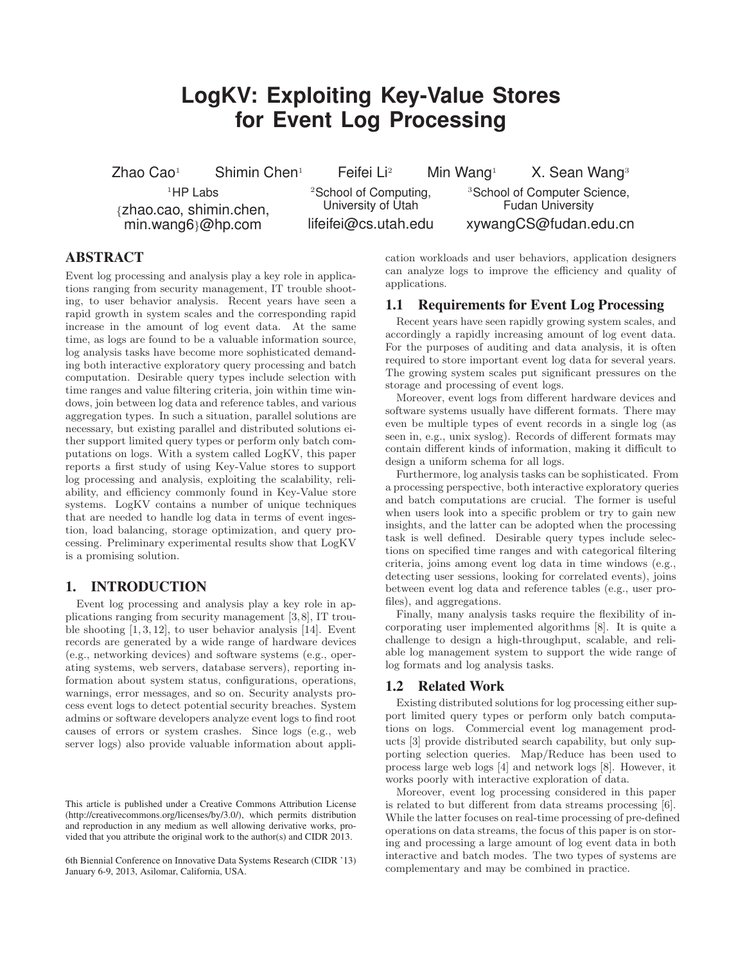# **LogKV: Exploiting Key-Value Stores for Event Log Processing**

Zhao Cao<sup>1</sup> Shimin Chen<sup>1</sup> Feifei Li<sup>2</sup> Min Wang<sup>1</sup> X. Sean Wang<sup>3</sup>

 $1$ HP Labs {zhao.cao, shimin.chen, min.wang6}@hp.com

<sup>2</sup>School of Computing. University of Utah lifeifei@cs.utah.edu

<sup>3</sup>School of Computer Science, Fudan University xywangCS@fudan.edu.cn

## **ABSTRACT**

Event log processing and analysis play a key role in applications ranging from security management, IT trouble shooting, to user behavior analysis. Recent years have seen a rapid growth in system scales and the corresponding rapid increase in the amount of log event data. At the same time, as logs are found to be a valuable information source, log analysis tasks have become more sophisticated demanding both interactive exploratory query processing and batch computation. Desirable query types include selection with time ranges and value filtering criteria, join within time windows, join between log data and reference tables, and various aggregation types. In such a situation, parallel solutions are necessary, but existing parallel and distributed solutions either support limited query types or perform only batch computations on logs. With a system called LogKV, this paper reports a first study of using Key-Value stores to support log processing and analysis, exploiting the scalability, reliability, and efficiency commonly found in Key-Value store systems. LogKV contains a number of unique techniques that are needed to handle log data in terms of event ingestion, load balancing, storage optimization, and query processing. Preliminary experimental results show that LogKV is a promising solution.

## **1. INTRODUCTION**

Event log processing and analysis play a key role in applications ranging from security management [3,8], IT trouble shooting [1, 3, 12], to user behavior analysis [14]. Event records are generated by a wide range of hardware devices (e.g., networking devices) and software systems (e.g., operating systems, web servers, database servers), reporting information about system status, configurations, operations, warnings, error messages, and so on. Security analysts process event logs to detect potential security breaches. System admins or software developers analyze event logs to find root causes of errors or system crashes. Since logs (e.g., web server logs) also provide valuable information about appli-

This article is published under a Creative Commons Attribution License (http://creativecommons.org/licenses/by/3.0/), which permits distribution and reproduction in any medium as well allowing derivative works, provided that you attribute the original work to the author(s) and CIDR 2013.

6th Biennial Conference on Innovative Data Systems Research (CIDR '13) January 6-9, 2013, Asilomar, California, USA.

cation workloads and user behaviors, application designers can analyze logs to improve the efficiency and quality of applications.

## **1.1 Requirements for Event Log Processing**

Recent years have seen rapidly growing system scales, and accordingly a rapidly increasing amount of log event data. For the purposes of auditing and data analysis, it is often required to store important event log data for several years. The growing system scales put significant pressures on the storage and processing of event logs.

Moreover, event logs from different hardware devices and software systems usually have different formats. There may even be multiple types of event records in a single log (as seen in, e.g., unix syslog). Records of different formats may contain different kinds of information, making it difficult to design a uniform schema for all logs.

Furthermore, log analysis tasks can be sophisticated. From a processing perspective, both interactive exploratory queries and batch computations are crucial. The former is useful when users look into a specific problem or try to gain new insights, and the latter can be adopted when the processing task is well defined. Desirable query types include selections on specified time ranges and with categorical filtering criteria, joins among event log data in time windows (e.g., detecting user sessions, looking for correlated events), joins between event log data and reference tables (e.g., user profiles), and aggregations.

Finally, many analysis tasks require the flexibility of incorporating user implemented algorithms [8]. It is quite a challenge to design a high-throughput, scalable, and reliable log management system to support the wide range of log formats and log analysis tasks.

## **1.2 Related Work**

Existing distributed solutions for log processing either support limited query types or perform only batch computations on logs. Commercial event log management products [3] provide distributed search capability, but only supporting selection queries. Map/Reduce has been used to process large web logs [4] and network logs [8]. However, it works poorly with interactive exploration of data.

Moreover, event log processing considered in this paper is related to but different from data streams processing [6]. While the latter focuses on real-time processing of pre-defined operations on data streams, the focus of this paper is on storing and processing a large amount of log event data in both interactive and batch modes. The two types of systems are complementary and may be combined in practice.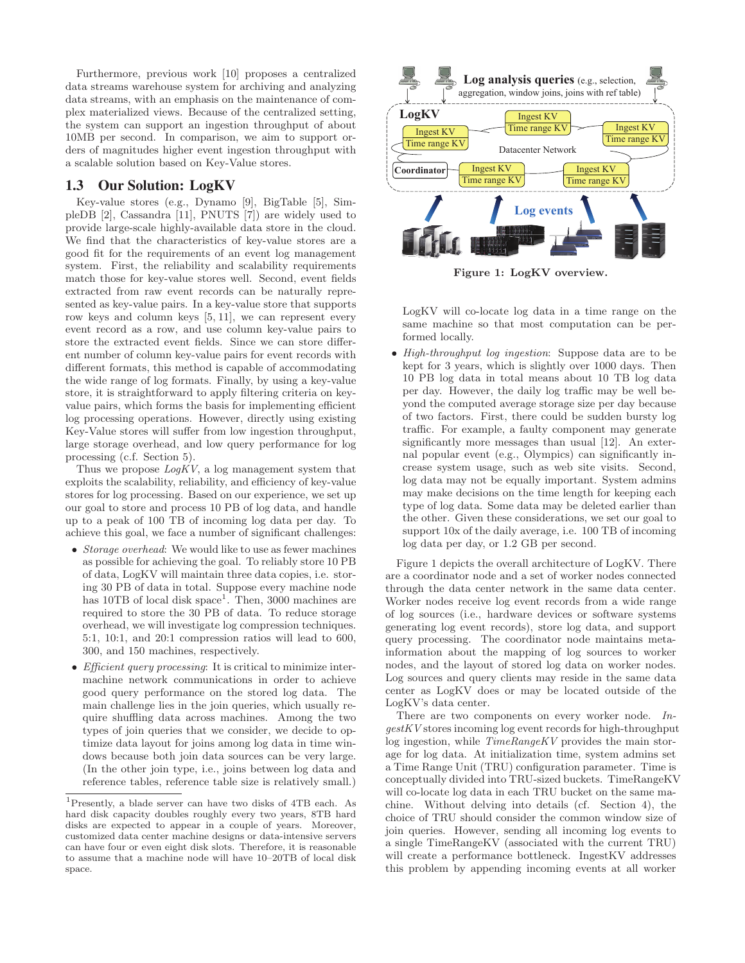Furthermore, previous work [10] proposes a centralized data streams warehouse system for archiving and analyzing data streams, with an emphasis on the maintenance of complex materialized views. Because of the centralized setting, the system can support an ingestion throughput of about 10MB per second. In comparison, we aim to support orders of magnitudes higher event ingestion throughput with a scalable solution based on Key-Value stores.

## **1.3 Our Solution: LogKV**

Key-value stores (e.g., Dynamo [9], BigTable [5], SimpleDB [2], Cassandra [11], PNUTS [7]) are widely used to provide large-scale highly-available data store in the cloud. We find that the characteristics of key-value stores are a good fit for the requirements of an event log management system. First, the reliability and scalability requirements match those for key-value stores well. Second, event fields extracted from raw event records can be naturally represented as key-value pairs. In a key-value store that supports row keys and column keys [5, 11], we can represent every event record as a row, and use column key-value pairs to store the extracted event fields. Since we can store different number of column key-value pairs for event records with different formats, this method is capable of accommodating the wide range of log formats. Finally, by using a key-value store, it is straightforward to apply filtering criteria on keyvalue pairs, which forms the basis for implementing efficient log processing operations. However, directly using existing Key-Value stores will suffer from low ingestion throughput, large storage overhead, and low query performance for log processing (c.f. Section 5).

Thus we propose  $LogKV$ , a log management system that exploits the scalability, reliability, and efficiency of key-value stores for log processing. Based on our experience, we set up our goal to store and process 10 PB of log data, and handle up to a peak of 100 TB of incoming log data per day. To achieve this goal, we face a number of significant challenges:

- Storage overhead: We would like to use as fewer machines as possible for achieving the goal. To reliably store 10 PB of data, LogKV will maintain three data copies, i.e. storing 30 PB of data in total. Suppose every machine node has 10TB of local disk space<sup>1</sup>. Then, 3000 machines are required to store the 30 PB of data. To reduce storage overhead, we will investigate log compression techniques. 5:1, 10:1, and 20:1 compression ratios will lead to 600, 300, and 150 machines, respectively.
- Efficient query processing: It is critical to minimize intermachine network communications in order to achieve good query performance on the stored log data. The main challenge lies in the join queries, which usually require shuffling data across machines. Among the two types of join queries that we consider, we decide to optimize data layout for joins among log data in time windows because both join data sources can be very large. (In the other join type, i.e., joins between log data and reference tables, reference table size is relatively small.)



Figure 1: LogKV overview.

LogKV will co-locate log data in a time range on the same machine so that most computation can be performed locally.

• High-throughput log ingestion: Suppose data are to be kept for 3 years, which is slightly over 1000 days. Then 10 PB log data in total means about 10 TB log data per day. However, the daily log traffic may be well beyond the computed average storage size per day because of two factors. First, there could be sudden bursty log traffic. For example, a faulty component may generate significantly more messages than usual [12]. An external popular event (e.g., Olympics) can significantly increase system usage, such as web site visits. Second, log data may not be equally important. System admins may make decisions on the time length for keeping each type of log data. Some data may be deleted earlier than the other. Given these considerations, we set our goal to support 10x of the daily average, i.e. 100 TB of incoming log data per day, or 1.2 GB per second.

Figure 1 depicts the overall architecture of LogKV. There are a coordinator node and a set of worker nodes connected through the data center network in the same data center. Worker nodes receive log event records from a wide range of log sources (i.e., hardware devices or software systems generating log event records), store log data, and support query processing. The coordinator node maintains metainformation about the mapping of log sources to worker nodes, and the layout of stored log data on worker nodes. Log sources and query clients may reside in the same data center as LogKV does or may be located outside of the LogKV's data center.

There are two components on every worker node. IngestKV stores incoming log event records for high-throughput log ingestion, while TimeRangeKV provides the main storage for log data. At initialization time, system admins set a Time Range Unit (TRU) configuration parameter. Time is conceptually divided into TRU-sized buckets. TimeRangeKV will co-locate log data in each TRU bucket on the same machine. Without delving into details (cf. Section 4), the choice of TRU should consider the common window size of join queries. However, sending all incoming log events to a single TimeRangeKV (associated with the current TRU) will create a performance bottleneck. IngestKV addresses this problem by appending incoming events at all worker

<sup>1</sup>Presently, a blade server can have two disks of 4TB each. As hard disk capacity doubles roughly every two years, 8TB hard disks are expected to appear in a couple of years. Moreover, customized data center machine designs or data-intensive servers can have four or even eight disk slots. Therefore, it is reasonable to assume that a machine node will have 10–20TB of local disk space.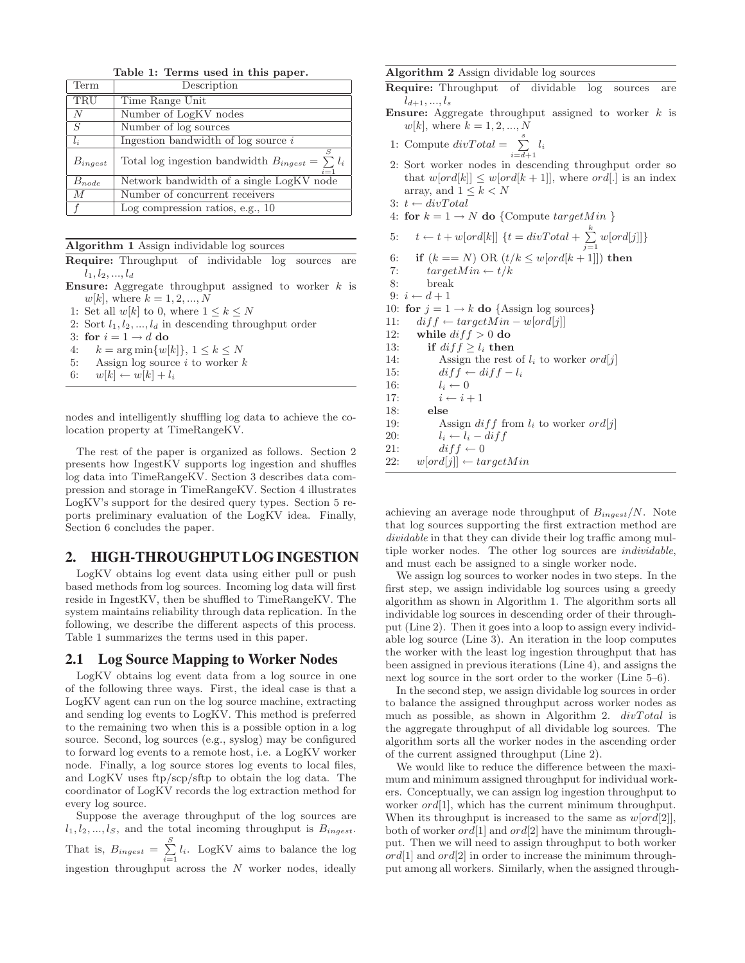Table 1: Terms used in this paper.

| Term           | Description                                                         |
|----------------|---------------------------------------------------------------------|
| TRU            | Time Range Unit                                                     |
| N              | Number of LogKV nodes                                               |
| S              | Number of log sources                                               |
| $l_i$          | Ingestion bandwidth of $log$ source $i$                             |
| $B_{ingest}$   | S<br>Total log ingestion bandwidth $B_{ingest} = \sum l_i$<br>$i=1$ |
| $B_{node}$     | Network bandwidth of a single LogKV node                            |
| $\overline{M}$ | Number of concurrent receivers                                      |
|                | Log compression ratios, e.g., $10$                                  |

#### Algorithm 1 Assign individable log sources

Require: Throughput of individable log sources are  $l_1, l_2, ..., l_d$ 

- **Ensure:** Aggregate throughput assigned to worker  $k$  is  $w[k]$ , where  $k = 1, 2, ..., N$
- 1: Set all  $w[k]$  to 0, where  $1 \leq k \leq N$
- 2: Sort  $l_1, l_2, ..., l_d$  in descending throughput order
- 3: for  $i = 1 \rightarrow d$  do
- 4:  $k = \arg \min \{w[k]\}, 1 \leq k \leq N$
- 5: Assign log source  $i$  to worker  $k$
- 6:  $w[k] \leftarrow w[k] + l_i$

nodes and intelligently shuffling log data to achieve the colocation property at TimeRangeKV.

The rest of the paper is organized as follows. Section 2 presents how IngestKV supports log ingestion and shuffles log data into TimeRangeKV. Section 3 describes data compression and storage in TimeRangeKV. Section 4 illustrates LogKV's support for the desired query types. Section 5 reports preliminary evaluation of the LogKV idea. Finally, Section 6 concludes the paper.

## **2. HIGH-THROUGHPUT LOG INGESTION**

LogKV obtains log event data using either pull or push based methods from log sources. Incoming log data will first reside in IngestKV, then be shuffled to TimeRangeKV. The system maintains reliability through data replication. In the following, we describe the different aspects of this process. Table 1 summarizes the terms used in this paper.

#### **2.1 Log Source Mapping to Worker Nodes**

LogKV obtains log event data from a log source in one of the following three ways. First, the ideal case is that a LogKV agent can run on the log source machine, extracting and sending log events to LogKV. This method is preferred to the remaining two when this is a possible option in a log source. Second, log sources (e.g., syslog) may be configured to forward log events to a remote host, i.e. a LogKV worker node. Finally, a log source stores log events to local files, and LogKV uses ftp/scp/sftp to obtain the log data. The coordinator of LogKV records the log extraction method for every log source.

Suppose the average throughput of the log sources are  $l_1, l_2, ..., l_s$ , and the total incoming throughput is  $B_{ingest}$ . That is,  $B_{ingest} = \sum_{i=1}^{S} l_i$ . LogKV aims to balance the log ingestion throughput across the N worker nodes, ideally

#### Algorithm 2 Assign dividable log sources

| <b>Require:</b> Throughput of dividable log sources are |  |  |  |
|---------------------------------------------------------|--|--|--|
| $l_{d+1},,l_{s}$                                        |  |  |  |

- **Ensure:** Aggregate throughput assigned to worker  $k$  is  $w[k]$ , where  $k = 1, 2, ..., N$
- 1: Compute  $divTotal = \sum_{i=d+1}^{s} l_i$
- 2: Sort worker nodes in descending throughput order so that  $w[ord[k]] \leq w[ord[k+1]]$ , where ord[.] is an index array, and  $1 \leq k < N$
- 3:  $t \leftarrow divTotal$
- 4: for  $k = 1 \rightarrow N$  do {Compute targetMin }

5: 
$$
t \leftarrow t + w[ord[k]] \{ t = divTotal + \sum_{k=1}^{k} w[ord[j]] \}
$$

- $j=1$ 6: if  $(k == N)$  OR  $(t/k \leq w[ord[k+1]])$  then
- 7:  $targetMin \leftarrow t/k$
- 8: break
- 9:  $i \leftarrow d+1$
- 10: for  $j = 1 \rightarrow k$  do {Assign log sources}
- 11:  $diff \leftarrow targetMin w[ord[j]]$
- 12: while  $diff > 0$  do
- 13: if  $diff \ge l_i$  then
- 14: Assign the rest of  $l_i$  to worker ord[j]
- 15:  $diff \leftarrow diff l_i$
- 16:  $l_i \leftarrow 0$

17:  $i \leftarrow i + 1$ 

- 18: else
- 19: Assign  $diff$  from  $l_i$  to worker ord[j]
- 20:  $l_i \leftarrow l_i diff$
- 21:  $diff \leftarrow 0$
- 22:  $w[ord[j]] \leftarrow targetMin$

achieving an average node throughput of  $B_{ingest}/N$ . Note that log sources supporting the first extraction method are dividable in that they can divide their log traffic among multiple worker nodes. The other log sources are individable, and must each be assigned to a single worker node.

We assign log sources to worker nodes in two steps. In the first step, we assign individable log sources using a greedy algorithm as shown in Algorithm 1. The algorithm sorts all individable log sources in descending order of their throughput (Line 2). Then it goes into a loop to assign every individable log source (Line 3). An iteration in the loop computes the worker with the least log ingestion throughput that has been assigned in previous iterations (Line 4), and assigns the next log source in the sort order to the worker (Line 5–6).

In the second step, we assign dividable log sources in order to balance the assigned throughput across worker nodes as much as possible, as shown in Algorithm 2.  $divTotal$  is the aggregate throughput of all dividable log sources. The algorithm sorts all the worker nodes in the ascending order of the current assigned throughput (Line 2).

We would like to reduce the difference between the maximum and minimum assigned throughput for individual workers. Conceptually, we can assign log ingestion throughput to worker *ord*[1], which has the current minimum throughput. When its throughput is increased to the same as  $w[ord[2]],$ both of worker  $ord[1]$  and  $ord[2]$  have the minimum throughput. Then we will need to assign throughput to both worker  $ord[1]$  and  $ord[2]$  in order to increase the minimum throughput among all workers. Similarly, when the assigned through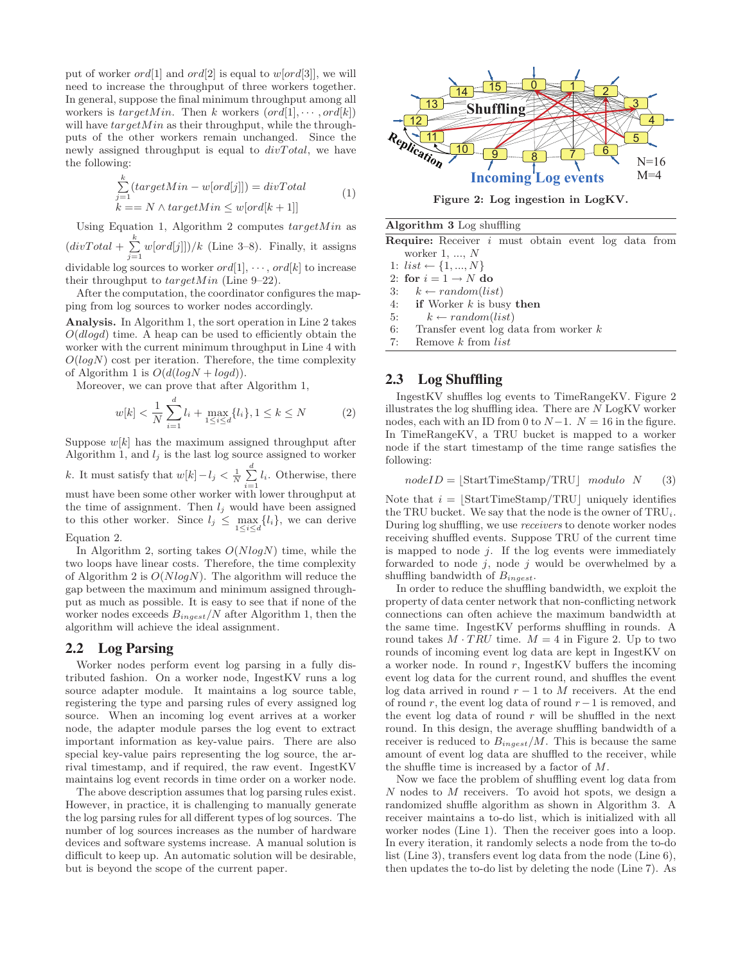put of worker  $ord[1]$  and  $ord[2]$  is equal to  $w[ord[3]]$ , we will need to increase the throughput of three workers together. In general, suppose the final minimum throughput among all workers is  $targetMin$ . Then k workers  $(ord[1], \cdots, ord[k])$ will have  $targetMin$  as their throughput, while the throughputs of the other workers remain unchanged. Since the newly assigned throughput is equal to  $divTotal$ , we have the following:

$$
\sum_{j=1}^{k} (targetMin - w[ord[j]]) = divTotal
$$
  
\n
$$
k == N \land targetMin \leq w[ord[k+1]]
$$
\n(1)

Using Equation 1, Algorithm 2 computes  $targetMin$  as  $\left(\text{div} \text{Total} + \sum_{j=1}^{k} w[\text{ord}[j]]\right) / k$  (Line 3–8). Finally, it assigns dividable log sources to worker  $ord[1], \dots, ord[k]$  to increase

their throughput to  $targetMin$  (Line 9-22).

After the computation, the coordinator configures the mapping from log sources to worker nodes accordingly.

Analysis. In Algorithm 1, the sort operation in Line 2 takes  $O(dlog d)$  time. A heap can be used to efficiently obtain the worker with the current minimum throughput in Line 4 with  $O(logN)$  cost per iteration. Therefore, the time complexity of Algorithm 1 is  $O(d(logN + logd)).$ 

Moreover, we can prove that after Algorithm 1,

$$
w[k] < \frac{1}{N} \sum_{i=1}^{d} l_i + \max_{1 \le i \le d} \{l_i\}, 1 \le k \le N \tag{2}
$$

Suppose  $w[k]$  has the maximum assigned throughput after Algorithm 1, and  $l_j$  is the last log source assigned to worker k. It must satisfy that  $w[k] - l_j < \frac{1}{N} \sum_{i=1}^d l_i$ . Otherwise, there must have been some other worker with lower throughput at the time of assignment. Then  $l_j$  would have been assigned to this other worker. Since  $l_j \n\t\leq \max_{1 \leq i \leq d} \{l_i\}$ , we can derive

#### Equation 2.

In Algorithm 2, sorting takes  $O(N \log N)$  time, while the two loops have linear costs. Therefore, the time complexity of Algorithm 2 is  $O(N \log N)$ . The algorithm will reduce the gap between the maximum and minimum assigned throughput as much as possible. It is easy to see that if none of the worker nodes exceeds  $B_{ingest}/N$  after Algorithm 1, then the algorithm will achieve the ideal assignment.

## **2.2 Log Parsing**

Worker nodes perform event log parsing in a fully distributed fashion. On a worker node, IngestKV runs a log source adapter module. It maintains a log source table, registering the type and parsing rules of every assigned log source. When an incoming log event arrives at a worker node, the adapter module parses the log event to extract important information as key-value pairs. There are also special key-value pairs representing the log source, the arrival timestamp, and if required, the raw event. IngestKV maintains log event records in time order on a worker node.

The above description assumes that log parsing rules exist. However, in practice, it is challenging to manually generate the log parsing rules for all different types of log sources. The number of log sources increases as the number of hardware devices and software systems increase. A manual solution is difficult to keep up. An automatic solution will be desirable, but is beyond the scope of the current paper.



Figure 2: Log ingestion in LogKV.

#### Algorithm 3 Log shuffling

Require: Receiver i must obtain event log data from worker 1, ..., N

1:  $list \leftarrow \{1, ..., N\}$ 

2: for  $i = 1 \rightarrow N$  do

- 3:  $k \leftarrow random(list)$
- 4: if Worker  $k$  is busy then
- 5:  $k \leftarrow random(list)$
- 6: Transfer event log data from worker  $k$
- 7: Remove k from list

## **2.3 Log Shuffling**

IngestKV shuffles log events to TimeRangeKV. Figure 2 illustrates the log shuffling idea. There are  $N$  LogKV worker nodes, each with an ID from 0 to  $N-1$ .  $N = 16$  in the figure. In TimeRangeKV, a TRU bucket is mapped to a worker node if the start timestamp of the time range satisfies the following:

$$
nodeID = [StartTimeStamp/TRU] \quad modulo \quad N \qquad (3)
$$

Note that  $i = |\text{StartTimeStamp}/\text{TRU}|$  uniquely identifies the TRU bucket. We say that the node is the owner of  $TRU_i$ . During log shuffling, we use receivers to denote worker nodes receiving shuffled events. Suppose TRU of the current time is mapped to node  $j$ . If the log events were immediately forwarded to node  $j$ , node  $j$  would be overwhelmed by a shuffling bandwidth of  $B_{ingest}$ .

In order to reduce the shuffling bandwidth, we exploit the property of data center network that non-conflicting network connections can often achieve the maximum bandwidth at the same time. IngestKV performs shuffling in rounds. A round takes  $M \cdot TRU$  time.  $M = 4$  in Figure 2. Up to two rounds of incoming event log data are kept in IngestKV on a worker node. In round  $r$ , IngestKV buffers the incoming event log data for the current round, and shuffles the event log data arrived in round  $r - 1$  to M receivers. At the end of round r, the event log data of round  $r-1$  is removed, and the event log data of round  $r$  will be shuffled in the next round. In this design, the average shuffling bandwidth of a receiver is reduced to  $B_{ingest}/M$ . This is because the same amount of event log data are shuffled to the receiver, while the shuffle time is increased by a factor of M.

Now we face the problem of shuffling event log data from N nodes to M receivers. To avoid hot spots, we design a randomized shuffle algorithm as shown in Algorithm 3. A receiver maintains a to-do list, which is initialized with all worker nodes (Line 1). Then the receiver goes into a loop. In every iteration, it randomly selects a node from the to-do list (Line 3), transfers event log data from the node (Line 6), then updates the to-do list by deleting the node (Line 7). As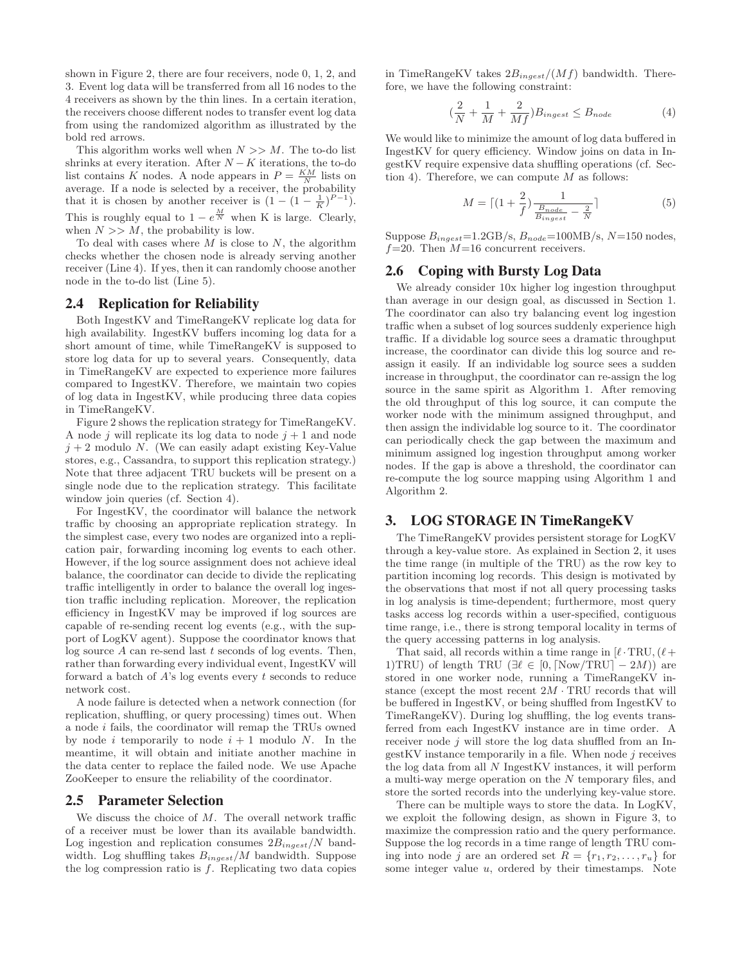shown in Figure 2, there are four receivers, node 0, 1, 2, and 3. Event log data will be transferred from all 16 nodes to the 4 receivers as shown by the thin lines. In a certain iteration, the receivers choose different nodes to transfer event log data from using the randomized algorithm as illustrated by the bold red arrows.

This algorithm works well when  $N >> M$ . The to-do list shrinks at every iteration. After  $N - K$  iterations, the to-do list contains K nodes. A node appears in  $P = \frac{KM}{N}$  lists on have contains A houces. A houce appears in  $Y = N$  has one average. If a node is selected by a receiver, the probability that it is chosen by another receiver is  $(1 - (1 - \frac{1}{K})^{P-1})$ . This is roughly equal to  $1 - e^{\frac{M}{N}}$  when K is large. Clearly, when  $N >> M$ , the probability is low.

To deal with cases where  $M$  is close to  $N$ , the algorithm checks whether the chosen node is already serving another receiver (Line 4). If yes, then it can randomly choose another node in the to-do list (Line 5).

#### **2.4 Replication for Reliability**

Both IngestKV and TimeRangeKV replicate log data for high availability. IngestKV buffers incoming log data for a short amount of time, while TimeRangeKV is supposed to store log data for up to several years. Consequently, data in TimeRangeKV are expected to experience more failures compared to IngestKV. Therefore, we maintain two copies of log data in IngestKV, while producing three data copies in TimeRangeKV.

Figure 2 shows the replication strategy for TimeRangeKV. A node j will replicate its log data to node  $j+1$  and node  $j + 2$  modulo N. (We can easily adapt existing Key-Value stores, e.g., Cassandra, to support this replication strategy.) Note that three adjacent TRU buckets will be present on a single node due to the replication strategy. This facilitate window join queries (cf. Section 4).

For IngestKV, the coordinator will balance the network traffic by choosing an appropriate replication strategy. In the simplest case, every two nodes are organized into a replication pair, forwarding incoming log events to each other. However, if the log source assignment does not achieve ideal balance, the coordinator can decide to divide the replicating traffic intelligently in order to balance the overall log ingestion traffic including replication. Moreover, the replication efficiency in IngestKV may be improved if log sources are capable of re-sending recent log events (e.g., with the support of LogKV agent). Suppose the coordinator knows that log source  $A$  can re-send last  $t$  seconds of log events. Then, rather than forwarding every individual event, IngestKV will forward a batch of  $A$ 's log events every  $t$  seconds to reduce network cost.

A node failure is detected when a network connection (for replication, shuffling, or query processing) times out. When a node i fails, the coordinator will remap the TRUs owned by node i temporarily to node  $i + 1$  modulo N. In the meantime, it will obtain and initiate another machine in the data center to replace the failed node. We use Apache ZooKeeper to ensure the reliability of the coordinator.

#### **2.5 Parameter Selection**

We discuss the choice of M. The overall network traffic of a receiver must be lower than its available bandwidth. Log ingestion and replication consumes  $2B_{ingest}/N$  bandwidth. Log shuffling takes  $B_{ingest}/M$  bandwidth. Suppose the log compression ratio is  $f$ . Replicating two data copies

in TimeRangeKV takes  $2B_{ingest}/(Mf)$  bandwidth. Therefore, we have the following constraint:

$$
\left(\frac{2}{N} + \frac{1}{M} + \frac{2}{Mf}\right)B_{ingest} \le B_{node} \tag{4}
$$

We would like to minimize the amount of log data buffered in IngestKV for query efficiency. Window joins on data in IngestKV require expensive data shuffling operations (cf. Section 4). Therefore, we can compute  $M$  as follows:

$$
M = \lceil (1 + \frac{2}{f}) \frac{1}{\frac{B_{node}}{B_{ingest}} - \frac{2}{N}} \rceil
$$
 (5)

Suppose  $B_{ingest}$ =1.2GB/s,  $B_{node}$ =100MB/s, N=150 nodes,  $f=20$ . Then  $M=16$  concurrent receivers.

#### **2.6 Coping with Bursty Log Data**

We already consider 10x higher log ingestion throughput than average in our design goal, as discussed in Section 1. The coordinator can also try balancing event log ingestion traffic when a subset of log sources suddenly experience high traffic. If a dividable log source sees a dramatic throughput increase, the coordinator can divide this log source and reassign it easily. If an individable log source sees a sudden increase in throughput, the coordinator can re-assign the log source in the same spirit as Algorithm 1. After removing the old throughput of this log source, it can compute the worker node with the minimum assigned throughput, and then assign the individable log source to it. The coordinator can periodically check the gap between the maximum and minimum assigned log ingestion throughput among worker nodes. If the gap is above a threshold, the coordinator can re-compute the log source mapping using Algorithm 1 and Algorithm 2.

## **3. LOG STORAGE IN TimeRangeKV**

The TimeRangeKV provides persistent storage for LogKV through a key-value store. As explained in Section 2, it uses the time range (in multiple of the TRU) as the row key to partition incoming log records. This design is motivated by the observations that most if not all query processing tasks in log analysis is time-dependent; furthermore, most query tasks access log records within a user-specified, contiguous time range, i.e., there is strong temporal locality in terms of the query accessing patterns in log analysis.

That said, all records within a time range in  $[\ell$  · TRU,  $(\ell +$ 1)TRU) of length TRU ( $\exists \ell \in [0, \lceil \text{Now}/\text{TRU} \rceil - 2M)$ ) are stored in one worker node, running a TimeRangeKV instance (except the most recent  $2M \cdot TRU$  records that will be buffered in IngestKV, or being shuffled from IngestKV to TimeRangeKV). During log shuffling, the log events transferred from each IngestKV instance are in time order. A receiver node j will store the log data shuffled from an In $gestKV$  instance temporarily in a file. When node  $j$  receives the log data from all N IngestKV instances, it will perform a multi-way merge operation on the N temporary files, and store the sorted records into the underlying key-value store.

There can be multiple ways to store the data. In LogKV, we exploit the following design, as shown in Figure 3, to maximize the compression ratio and the query performance. Suppose the log records in a time range of length TRU coming into node j are an ordered set  $R = \{r_1, r_2, \ldots, r_u\}$  for some integer value  $u$ , ordered by their timestamps. Note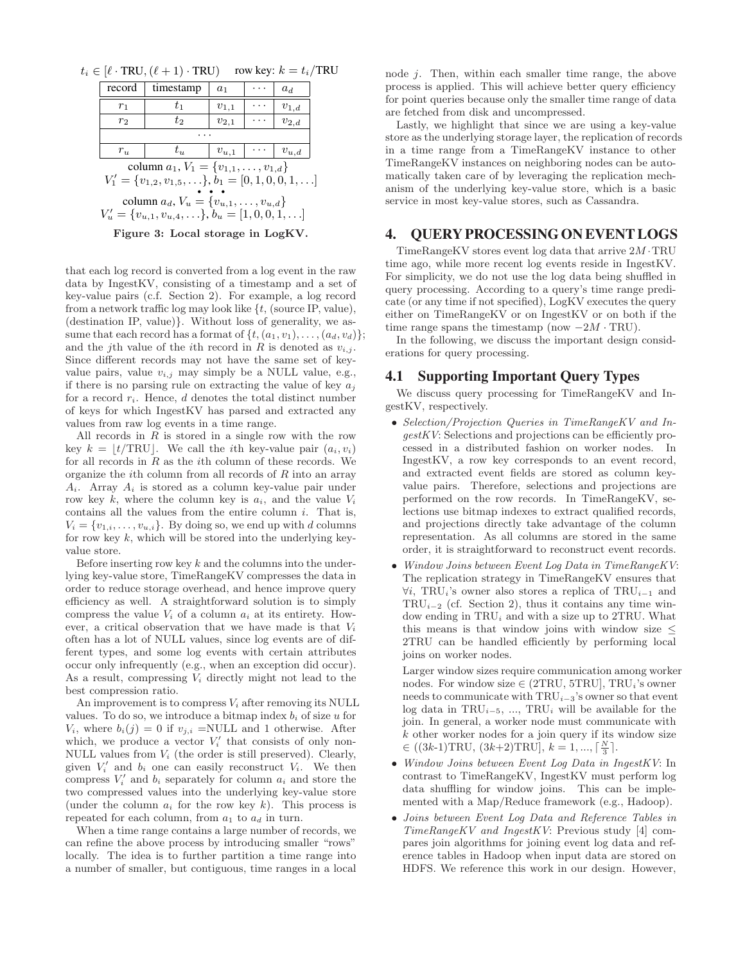|  |  |  |  |  |  | $t_i \in [\ell \cdot \text{TRU}, (\ell+1) \cdot \text{TRU})$ row key: $k = t_i / \text{TRU}$ |  |  |
|--|--|--|--|--|--|----------------------------------------------------------------------------------------------|--|--|
|--|--|--|--|--|--|----------------------------------------------------------------------------------------------|--|--|

| record                                                                                                                    | timestamp | $a_1$     |          | $a_d$     |  |  |
|---------------------------------------------------------------------------------------------------------------------------|-----------|-----------|----------|-----------|--|--|
| $r_1$                                                                                                                     | $t_1$     | $v_{1,1}$ | .        | $v_{1,d}$ |  |  |
| $r_2$                                                                                                                     | $t_2$     | $v_{2,1}$ |          | $v_{2,d}$ |  |  |
|                                                                                                                           |           |           |          |           |  |  |
| $r_{u}$                                                                                                                   | $t_u$     | $v_{u,1}$ | $\cdots$ | $v_{u,d}$ |  |  |
| column $a_1, V_1 = \{v_{1,1}, \ldots, v_{1,d}\}\$                                                                         |           |           |          |           |  |  |
| $V'_1 = \{v_{1,2}, v_{1,5}, \ldots\}, b_1 = [0, 1, 0, 0, 1, \ldots]$                                                      |           |           |          |           |  |  |
| column $a_d$ , $V_u = \{v_{u,1}, \ldots, v_{u,d}\}\$<br>$V'_u = \{v_{u,1}, v_{u,4}, \ldots\}, b_u = [1, 0, 0, 1, \ldots]$ |           |           |          |           |  |  |

Figure 3: Local storage in LogKV.

that each log record is converted from a log event in the raw data by IngestKV, consisting of a timestamp and a set of key-value pairs (c.f. Section 2). For example, a log record from a network traffic log may look like  $\{t,$  (source IP, value), (destination IP, value)}. Without loss of generality, we assume that each record has a format of  $\{t, (a_1, v_1), \ldots, (a_d, v_d)\};$ and the j<sup>th</sup> value of the *i*<sup>th</sup> record in R is denoted as  $v_{i,j}$ . Since different records may not have the same set of keyvalue pairs, value  $v_{i,j}$  may simply be a NULL value, e.g., if there is no parsing rule on extracting the value of key  $a_i$ for a record  $r_i$ . Hence, d denotes the total distinct number of keys for which IngestKV has parsed and extracted any values from raw log events in a time range.

All records in  $R$  is stored in a single row with the row key  $k = |t/\text{TRU}|$ . We call the *i*th key-value pair  $(a_i, v_i)$ for all records in  $R$  as the *i*th column of these records. We organize the *i*th column from all records of  $R$  into an array  $A_i$ . Array  $A_i$  is stored as a column key-value pair under row key k, where the column key is  $a_i$ , and the value  $V_i$ contains all the values from the entire column  $i$ . That is,  $V_i = \{v_{1,i}, \ldots, v_{u,i}\}.$  By doing so, we end up with d columns for row key  $k$ , which will be stored into the underlying keyvalue store.

Before inserting row key  $k$  and the columns into the underlying key-value store, TimeRangeKV compresses the data in order to reduce storage overhead, and hence improve query efficiency as well. A straightforward solution is to simply compress the value  $V_i$  of a column  $a_i$  at its entirety. However, a critical observation that we have made is that  $V_i$ often has a lot of NULL values, since log events are of different types, and some log events with certain attributes occur only infrequently (e.g., when an exception did occur). As a result, compressing  $V_i$  directly might not lead to the best compression ratio.

An improvement is to compress  $V_i$  after removing its NULL values. To do so, we introduce a bitmap index  $b_i$  of size u for  $V_i$ , where  $b_i(j) = 0$  if  $v_{j,i} = NULL$  and 1 otherwise. After which, we produce a vector  $V_i'$  that consists of only non-NULL values from  $V_i$  (the order is still preserved). Clearly, given  $V_i'$  and  $b_i$  one can easily reconstruct  $V_i$ . We then compress  $V_i'$  and  $b_i$  separately for column  $a_i$  and store the two compressed values into the underlying key-value store (under the column  $a_i$  for the row key k). This process is repeated for each column, from  $a_1$  to  $a_d$  in turn.

When a time range contains a large number of records, we can refine the above process by introducing smaller "rows" locally. The idea is to further partition a time range into a number of smaller, but contiguous, time ranges in a local

node j. Then, within each smaller time range, the above process is applied. This will achieve better query efficiency for point queries because only the smaller time range of data are fetched from disk and uncompressed.

Lastly, we highlight that since we are using a key-value store as the underlying storage layer, the replication of records in a time range from a TimeRangeKV instance to other TimeRangeKV instances on neighboring nodes can be automatically taken care of by leveraging the replication mechanism of the underlying key-value store, which is a basic service in most key-value stores, such as Cassandra.

## **4. QUERY PROCESSING ON EVENT LOGS**

TimeRangeKV stores event  $log data$  that arrive  $2M \cdot TRU$ time ago, while more recent log events reside in IngestKV. For simplicity, we do not use the log data being shuffled in query processing. According to a query's time range predicate (or any time if not specified), LogKV executes the query either on TimeRangeKV or on IngestKV or on both if the time range spans the timestamp (now  $-2M \cdot TRU$ ).

In the following, we discuss the important design considerations for query processing.

## **4.1 Supporting Important Query Types**

We discuss query processing for TimeRangeKV and IngestKV, respectively.

- Selection/Projection Queries in TimeRangeKV and IngestKV: Selections and projections can be efficiently processed in a distributed fashion on worker nodes. In IngestKV, a row key corresponds to an event record, and extracted event fields are stored as column keyvalue pairs. Therefore, selections and projections are performed on the row records. In TimeRangeKV, selections use bitmap indexes to extract qualified records, and projections directly take advantage of the column representation. As all columns are stored in the same order, it is straightforward to reconstruct event records.
- Window Joins between Event Log Data in TimeRangeKV: The replication strategy in TimeRangeKV ensures that  $\forall i$ , TRU<sub>i</sub>'s owner also stores a replica of TRU<sub>i−1</sub> and  $TRU_{i-2}$  (cf. Section 2), thus it contains any time window ending in  $TRU_i$  and with a size up to 2TRU. What this means is that window joins with window size ≤ 2TRU can be handled efficiently by performing local joins on worker nodes.

Larger window sizes require communication among worker nodes. For window size  $\in$  (2TRU, 5TRU], TRU<sub>i</sub>'s owner needs to communicate with  $TRU_{i-3}$ 's owner so that event log data in  $TRU_{i-5}$ , ..., TRU<sub>i</sub> will be available for the join. In general, a worker node must communicate with  $k$  other worker nodes for a join query if its window size  $\in ((3k-1)\text{TRU}, (3k+2)\text{TRU}], k = 1, ..., \lceil \frac{N}{3} \rceil.$ 

- Window Joins between Event Log Data in IngestKV: In contrast to TimeRangeKV, IngestKV must perform log data shuffling for window joins. This can be implemented with a Map/Reduce framework (e.g., Hadoop).
- Joins between Event Log Data and Reference Tables in TimeRangeKV and IngestKV: Previous study [4] compares join algorithms for joining event log data and reference tables in Hadoop when input data are stored on HDFS. We reference this work in our design. However,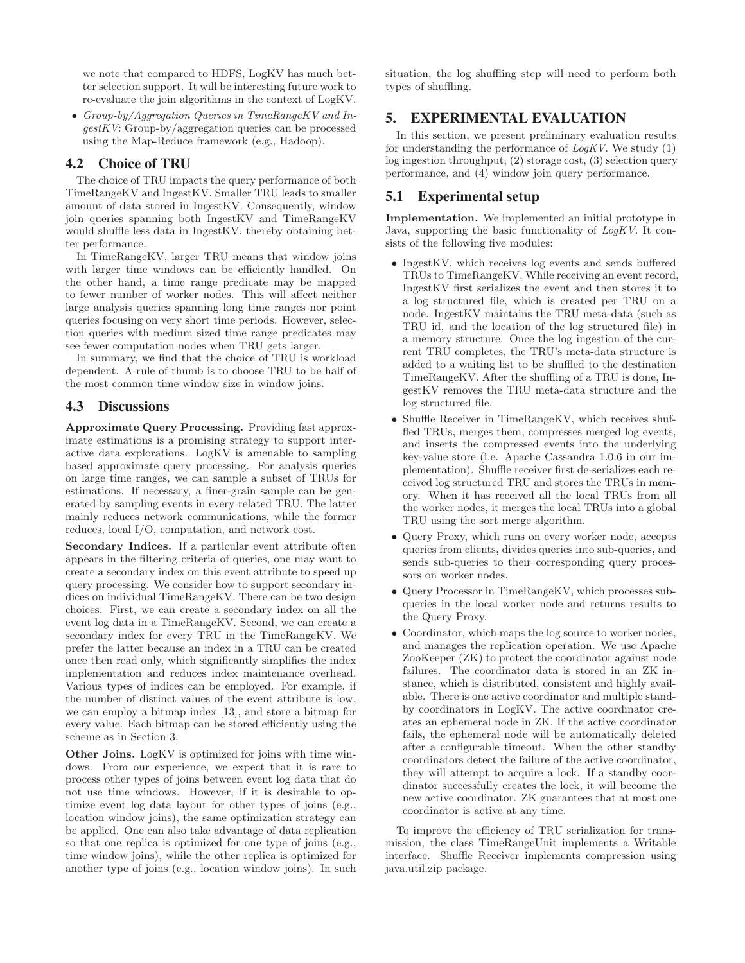we note that compared to HDFS, LogKV has much better selection support. It will be interesting future work to re-evaluate the join algorithms in the context of LogKV.

• Group-by/Aggregation Queries in TimeRangeKV and IngestKV: Group-by/aggregation queries can be processed using the Map-Reduce framework (e.g., Hadoop).

## **4.2 Choice of TRU**

The choice of TRU impacts the query performance of both TimeRangeKV and IngestKV. Smaller TRU leads to smaller amount of data stored in IngestKV. Consequently, window join queries spanning both IngestKV and TimeRangeKV would shuffle less data in IngestKV, thereby obtaining better performance.

In TimeRangeKV, larger TRU means that window joins with larger time windows can be efficiently handled. On the other hand, a time range predicate may be mapped to fewer number of worker nodes. This will affect neither large analysis queries spanning long time ranges nor point queries focusing on very short time periods. However, selection queries with medium sized time range predicates may see fewer computation nodes when TRU gets larger.

In summary, we find that the choice of TRU is workload dependent. A rule of thumb is to choose TRU to be half of the most common time window size in window joins.

## **4.3 Discussions**

Approximate Query Processing. Providing fast approximate estimations is a promising strategy to support interactive data explorations. LogKV is amenable to sampling based approximate query processing. For analysis queries on large time ranges, we can sample a subset of TRUs for estimations. If necessary, a finer-grain sample can be generated by sampling events in every related TRU. The latter mainly reduces network communications, while the former reduces, local I/O, computation, and network cost.

Secondary Indices. If a particular event attribute often appears in the filtering criteria of queries, one may want to create a secondary index on this event attribute to speed up query processing. We consider how to support secondary indices on individual TimeRangeKV. There can be two design choices. First, we can create a secondary index on all the event log data in a TimeRangeKV. Second, we can create a secondary index for every TRU in the TimeRangeKV. We prefer the latter because an index in a TRU can be created once then read only, which significantly simplifies the index implementation and reduces index maintenance overhead. Various types of indices can be employed. For example, if the number of distinct values of the event attribute is low, we can employ a bitmap index [13], and store a bitmap for every value. Each bitmap can be stored efficiently using the scheme as in Section 3.

Other Joins. LogKV is optimized for joins with time windows. From our experience, we expect that it is rare to process other types of joins between event log data that do not use time windows. However, if it is desirable to optimize event log data layout for other types of joins (e.g., location window joins), the same optimization strategy can be applied. One can also take advantage of data replication so that one replica is optimized for one type of joins (e.g., time window joins), while the other replica is optimized for another type of joins (e.g., location window joins). In such

situation, the log shuffling step will need to perform both types of shuffling.

# **5. EXPERIMENTAL EVALUATION**

In this section, we present preliminary evaluation results for understanding the performance of  $LogKV$ . We study (1) log ingestion throughput, (2) storage cost, (3) selection query performance, and (4) window join query performance.

# **5.1 Experimental setup**

Implementation. We implemented an initial prototype in Java, supporting the basic functionality of LogKV. It consists of the following five modules:

- IngestKV, which receives log events and sends buffered TRUs to TimeRangeKV. While receiving an event record, IngestKV first serializes the event and then stores it to a log structured file, which is created per TRU on a node. IngestKV maintains the TRU meta-data (such as TRU id, and the location of the log structured file) in a memory structure. Once the log ingestion of the current TRU completes, the TRU's meta-data structure is added to a waiting list to be shuffled to the destination TimeRangeKV. After the shuffling of a TRU is done, IngestKV removes the TRU meta-data structure and the log structured file.
- Shuffle Receiver in TimeRangeKV, which receives shuffled TRUs, merges them, compresses merged log events, and inserts the compressed events into the underlying key-value store (i.e. Apache Cassandra 1.0.6 in our implementation). Shuffle receiver first de-serializes each received log structured TRU and stores the TRUs in memory. When it has received all the local TRUs from all the worker nodes, it merges the local TRUs into a global TRU using the sort merge algorithm.
- Query Proxy, which runs on every worker node, accepts queries from clients, divides queries into sub-queries, and sends sub-queries to their corresponding query processors on worker nodes.
- Query Processor in TimeRangeKV, which processes subqueries in the local worker node and returns results to the Query Proxy.
- Coordinator, which maps the log source to worker nodes, and manages the replication operation. We use Apache ZooKeeper (ZK) to protect the coordinator against node failures. The coordinator data is stored in an ZK instance, which is distributed, consistent and highly available. There is one active coordinator and multiple standby coordinators in LogKV. The active coordinator creates an ephemeral node in ZK. If the active coordinator fails, the ephemeral node will be automatically deleted after a configurable timeout. When the other standby coordinators detect the failure of the active coordinator, they will attempt to acquire a lock. If a standby coordinator successfully creates the lock, it will become the new active coordinator. ZK guarantees that at most one coordinator is active at any time.

To improve the efficiency of TRU serialization for transmission, the class TimeRangeUnit implements a Writable interface. Shuffle Receiver implements compression using java.util.zip package.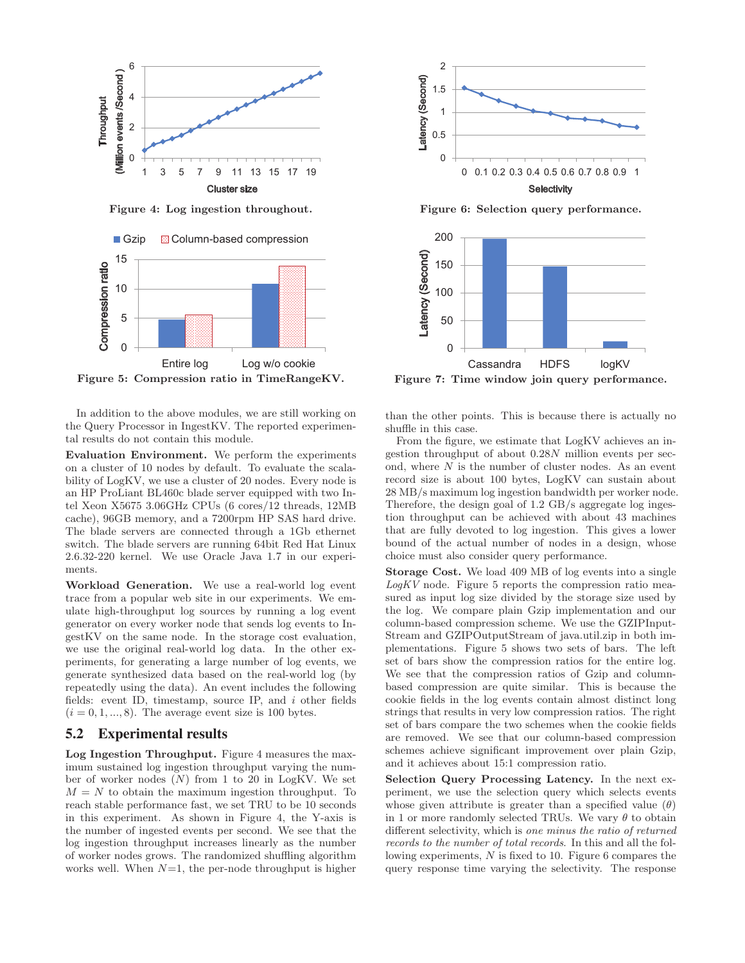

Figure 4: Log ingestion throughout.



In addition to the above modules, we are still working on the Query Processor in IngestKV. The reported experimental results do not contain this module.

Evaluation Environment. We perform the experiments on a cluster of 10 nodes by default. To evaluate the scalability of LogKV, we use a cluster of 20 nodes. Every node is an HP ProLiant BL460c blade server equipped with two Intel Xeon X5675 3.06GHz CPUs (6 cores/12 threads, 12MB cache), 96GB memory, and a 7200rpm HP SAS hard drive. The blade servers are connected through a 1Gb ethernet switch. The blade servers are running 64bit Red Hat Linux 2.6.32-220 kernel. We use Oracle Java 1.7 in our experiments.

Workload Generation. We use a real-world log event trace from a popular web site in our experiments. We emulate high-throughput log sources by running a log event generator on every worker node that sends log events to IngestKV on the same node. In the storage cost evaluation, we use the original real-world log data. In the other experiments, for generating a large number of log events, we generate synthesized data based on the real-world log (by repeatedly using the data). An event includes the following fields: event ID, timestamp, source IP, and i other fields  $(i = 0, 1, \ldots, 8)$ . The average event size is 100 bytes.

## **5.2 Experimental results**

Log Ingestion Throughput. Figure 4 measures the maximum sustained log ingestion throughput varying the number of worker nodes  $(N)$  from 1 to 20 in LogKV. We set  $M = N$  to obtain the maximum ingestion throughput. To reach stable performance fast, we set TRU to be 10 seconds in this experiment. As shown in Figure 4, the Y-axis is the number of ingested events per second. We see that the log ingestion throughput increases linearly as the number of worker nodes grows. The randomized shuffling algorithm works well. When  $N=1$ , the per-node throughput is higher



Figure 6: Selection query performance.



Figure 7: Time window join query performance.

than the other points. This is because there is actually no shuffle in this case.

From the figure, we estimate that LogKV achieves an ingestion throughput of about 0.28N million events per second, where  $N$  is the number of cluster nodes. As an event record size is about 100 bytes, LogKV can sustain about 28 MB/s maximum log ingestion bandwidth per worker node. Therefore, the design goal of 1.2 GB/s aggregate log ingestion throughput can be achieved with about 43 machines that are fully devoted to log ingestion. This gives a lower bound of the actual number of nodes in a design, whose choice must also consider query performance.

Storage Cost. We load 409 MB of log events into a single  $LogKV$  node. Figure 5 reports the compression ratio measured as input log size divided by the storage size used by the log. We compare plain Gzip implementation and our column-based compression scheme. We use the GZIPInput-Stream and GZIPOutputStream of java.util.zip in both implementations. Figure 5 shows two sets of bars. The left set of bars show the compression ratios for the entire log. We see that the compression ratios of Gzip and columnbased compression are quite similar. This is because the cookie fields in the log events contain almost distinct long strings that results in very low compression ratios. The right set of bars compare the two schemes when the cookie fields are removed. We see that our column-based compression schemes achieve significant improvement over plain Gzip, and it achieves about 15:1 compression ratio.

Selection Query Processing Latency. In the next experiment, we use the selection query which selects events whose given attribute is greater than a specified value  $(\theta)$ in 1 or more randomly selected TRUs. We vary  $\theta$  to obtain different selectivity, which is one minus the ratio of returned records to the number of total records. In this and all the following experiments, N is fixed to 10. Figure 6 compares the query response time varying the selectivity. The response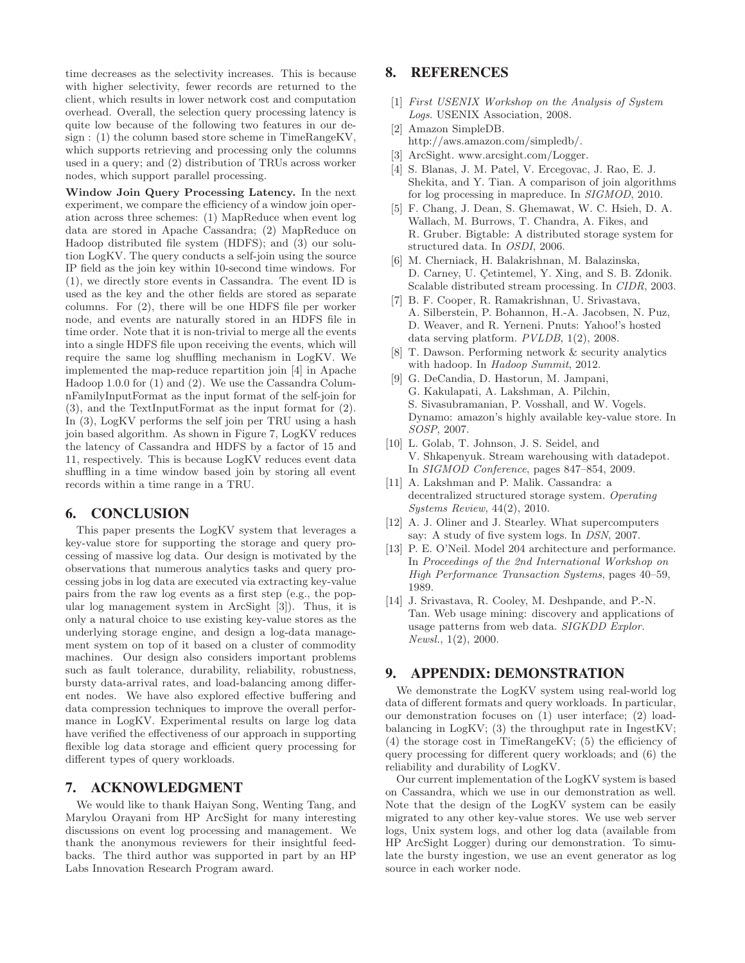time decreases as the selectivity increases. This is because with higher selectivity, fewer records are returned to the client, which results in lower network cost and computation overhead. Overall, the selection query processing latency is quite low because of the following two features in our design : (1) the column based store scheme in TimeRangeKV, which supports retrieving and processing only the columns used in a query; and (2) distribution of TRUs across worker nodes, which support parallel processing.

Window Join Query Processing Latency. In the next experiment, we compare the efficiency of a window join operation across three schemes: (1) MapReduce when event log data are stored in Apache Cassandra; (2) MapReduce on Hadoop distributed file system (HDFS); and (3) our solution LogKV. The query conducts a self-join using the source IP field as the join key within 10-second time windows. For (1), we directly store events in Cassandra. The event ID is used as the key and the other fields are stored as separate columns. For (2), there will be one HDFS file per worker node, and events are naturally stored in an HDFS file in time order. Note that it is non-trivial to merge all the events into a single HDFS file upon receiving the events, which will require the same log shuffling mechanism in LogKV. We implemented the map-reduce repartition join [4] in Apache Hadoop 1.0.0 for (1) and (2). We use the Cassandra ColumnFamilyInputFormat as the input format of the self-join for (3), and the TextInputFormat as the input format for (2). In (3), LogKV performs the self join per TRU using a hash join based algorithm. As shown in Figure 7, LogKV reduces the latency of Cassandra and HDFS by a factor of 15 and 11, respectively. This is because LogKV reduces event data shuffling in a time window based join by storing all event records within a time range in a TRU.

## **6. CONCLUSION**

This paper presents the LogKV system that leverages a key-value store for supporting the storage and query processing of massive log data. Our design is motivated by the observations that numerous analytics tasks and query processing jobs in log data are executed via extracting key-value pairs from the raw log events as a first step (e.g., the popular log management system in ArcSight [3]). Thus, it is only a natural choice to use existing key-value stores as the underlying storage engine, and design a log-data management system on top of it based on a cluster of commodity machines. Our design also considers important problems such as fault tolerance, durability, reliability, robustness, bursty data-arrival rates, and load-balancing among different nodes. We have also explored effective buffering and data compression techniques to improve the overall performance in LogKV. Experimental results on large log data have verified the effectiveness of our approach in supporting flexible log data storage and efficient query processing for different types of query workloads.

## **7. ACKNOWLEDGMENT**

We would like to thank Haiyan Song, Wenting Tang, and Marylou Orayani from HP ArcSight for many interesting discussions on event log processing and management. We thank the anonymous reviewers for their insightful feedbacks. The third author was supported in part by an HP Labs Innovation Research Program award.

## **8. REFERENCES**

- [1] First USENIX Workshop on the Analysis of System Logs. USENIX Association, 2008.
- [2] Amazon SimpleDB. http://aws.amazon.com/simpledb/.
- [3] ArcSight. www.arcsight.com/Logger.
- [4] S. Blanas, J. M. Patel, V. Ercegovac, J. Rao, E. J. Shekita, and Y. Tian. A comparison of join algorithms for log processing in mapreduce. In SIGMOD, 2010.
- [5] F. Chang, J. Dean, S. Ghemawat, W. C. Hsieh, D. A. Wallach, M. Burrows, T. Chandra, A. Fikes, and R. Gruber. Bigtable: A distributed storage system for structured data. In OSDI, 2006.
- [6] M. Cherniack, H. Balakrishnan, M. Balazinska, D. Carney, U. Cetintemel, Y. Xing, and S. B. Zdonik. Scalable distributed stream processing. In CIDR, 2003.
- [7] B. F. Cooper, R. Ramakrishnan, U. Srivastava, A. Silberstein, P. Bohannon, H.-A. Jacobsen, N. Puz, D. Weaver, and R. Yerneni. Pnuts: Yahoo!'s hosted data serving platform. PVLDB, 1(2), 2008.
- [8] T. Dawson. Performing network & security analytics with hadoop. In Hadoop Summit, 2012.
- [9] G. DeCandia, D. Hastorun, M. Jampani, G. Kakulapati, A. Lakshman, A. Pilchin, S. Sivasubramanian, P. Vosshall, and W. Vogels. Dynamo: amazon's highly available key-value store. In SOSP, 2007.
- [10] L. Golab, T. Johnson, J. S. Seidel, and V. Shkapenyuk. Stream warehousing with datadepot. In SIGMOD Conference, pages 847–854, 2009.
- [11] A. Lakshman and P. Malik. Cassandra: a decentralized structured storage system. Operating Systems Review, 44(2), 2010.
- [12] A. J. Oliner and J. Stearley. What supercomputers say: A study of five system logs. In DSN, 2007.
- [13] P. E. O'Neil. Model 204 architecture and performance. In Proceedings of the 2nd International Workshop on High Performance Transaction Systems, pages 40–59, 1989.
- [14] J. Srivastava, R. Cooley, M. Deshpande, and P.-N. Tan. Web usage mining: discovery and applications of usage patterns from web data. SIGKDD Explor. Newsl., 1(2), 2000.

#### **9. APPENDIX: DEMONSTRATION**

We demonstrate the LogKV system using real-world log data of different formats and query workloads. In particular, our demonstration focuses on (1) user interface; (2) loadbalancing in LogKV; (3) the throughput rate in IngestKV; (4) the storage cost in TimeRangeKV; (5) the efficiency of query processing for different query workloads; and (6) the reliability and durability of LogKV.

Our current implementation of the LogKV system is based on Cassandra, which we use in our demonstration as well. Note that the design of the LogKV system can be easily migrated to any other key-value stores. We use web server logs, Unix system logs, and other log data (available from HP ArcSight Logger) during our demonstration. To simulate the bursty ingestion, we use an event generator as log source in each worker node.